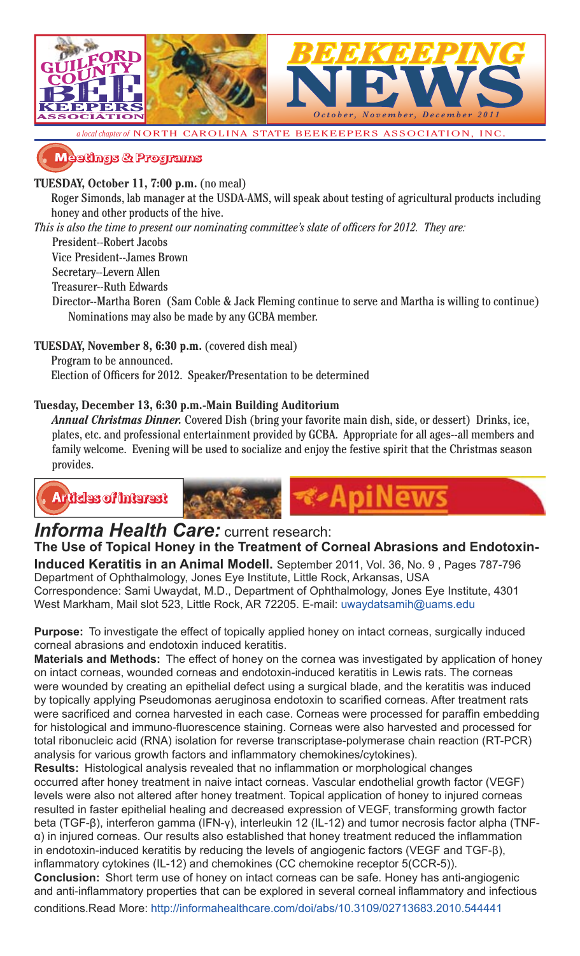

**�������� � ��������**

### **TUESDAY, October 11, 7:00 p.m.** (no meal)

Roger Simonds, lab manager at the USDA-AMS, will speak about testing of agricultural products including honey and other products of the hive.

*This is also the time to present our nominating committee's slate of officers for 2012. They are:* 

President--Robert Jacobs

Vice President--James Brown

Secretary--Levern Allen

Treasurer--Ruth Edwards

Director--Martha Boren (Sam Coble & Jack Fleming continue to serve and Martha is willing to continue) Nominations may also be made by any GCBA member.

**TUESDAY, November 8, 6:30 p.m.** (covered dish meal)

Program to be announced.

Election of Officers for 2012. Speaker/Presentation to be determined

### **Tuesday, December 13, 6:30 p.m.-Main Building Auditorium**

*Annual Christmas Dinner.* Covered Dish (bring your favorite main dish, side, or dessert) Drinks, ice, plates, etc. and professional entertainment provided by GCBA. Appropriate for all ages--all members and family welcome. Evening will be used to socialize and enjoy the festive spirit that the Christmas season provides.

-ADI



# **Informa Health Care:** current research:

**The Use of Topical Honey in the Treatment of Corneal Abrasions and Endotoxin-Induced Keratitis in an Animal Modell.** September 2011, Vol. 36, No. 9 , Pages 787-796 Department of Ophthalmology, Jones Eye Institute, Little Rock, Arkansas, USA

Correspondence: Sami Uwaydat, M.D., Department of Ophthalmology, Jones Eye Institute, 4301 West Markham, Mail slot 523, Little Rock, AR 72205. E-mail: uwaydatsamih@uams.edu

**Purpose:** To investigate the effect of topically applied honey on intact corneas, surgically induced corneal abrasions and endotoxin induced keratitis.

**Materials and Methods:** The effect of honey on the cornea was investigated by application of honey on intact corneas, wounded corneas and endotoxin-induced keratitis in Lewis rats. The corneas were wounded by creating an epithelial defect using a surgical blade, and the keratitis was induced by topically applying Pseudomonas aeruginosa endotoxin to scarified corneas. After treatment rats were sacrificed and cornea harvested in each case. Corneas were processed for paraffin embedding for histological and immuno-fluorescence staining. Corneas were also harvested and processed for total ribonucleic acid (RNA) isolation for reverse transcriptase-polymerase chain reaction (RT-PCR) analysis for various growth factors and inflammatory chemokines/cytokines).

**Results:** Histological analysis revealed that no inflammation or morphological changes occurred after honey treatment in naive intact corneas. Vascular endothelial growth factor (VEGF) levels were also not altered after honey treatment. Topical application of honey to injured corneas resulted in faster epithelial healing and decreased expression of VEGF, transforming growth factor beta (TGF-β), interferon gamma (IFN-γ), interleukin 12 (IL-12) and tumor necrosis factor alpha (TNFα) in injured corneas. Our results also established that honey treatment reduced the inflammation in endotoxin-induced keratitis by reducing the levels of angiogenic factors (VEGF and TGF-β), inflammatory cytokines (IL-12) and chemokines (CC chemokine receptor 5(CCR-5)).

**Conclusion:** Short term use of honey on intact corneas can be safe. Honey has anti-angiogenic and anti-inflammatory properties that can be explored in several corneal inflammatory and infectious conditions.Read More: http://informahealthcare.com/doi/abs/10.3109/02713683.2010.544441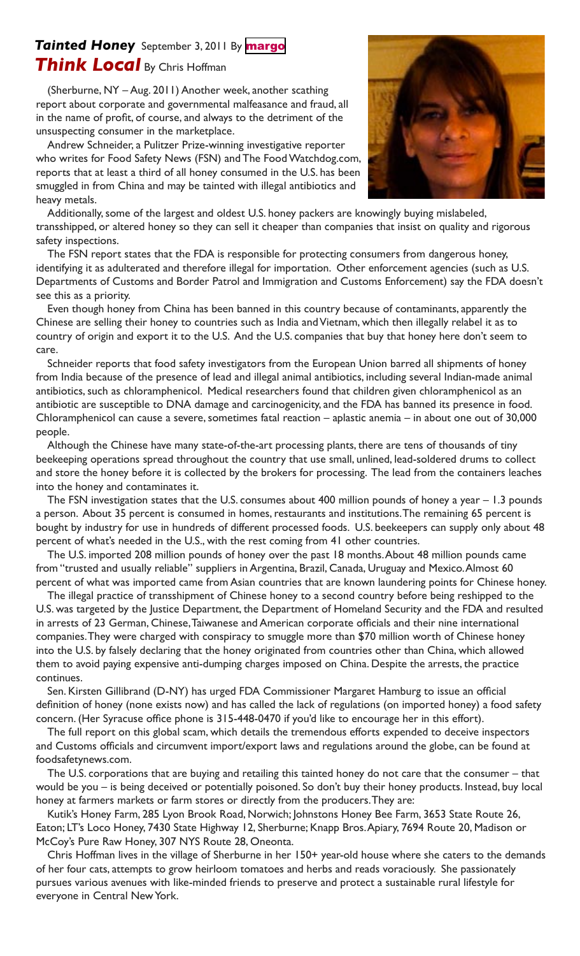## **Tainted Honey** September 3, 2011 By [margo](http://www.madisoncountycourier.com/author/margo/) *Think Local* By Chris Hoffman

(Sherburne, NY – Aug. 2011) Another week, another scathing report about corporate and governmental malfeasance and fraud, all in the name of profit, of course, and always to the detriment of the unsuspecting consumer in the marketplace.

Andrew Schneider, a Pulitzer Prize-winning investigative reporter who writes for Food Safety News (FSN) and The Food Watchdog.com, reports that at least a third of all honey consumed in the U.S. has been smuggled in from China and may be tainted with illegal antibiotics and heavy metals.



Additionally, some of the largest and oldest U.S. honey packers are knowingly buying mislabeled, transshipped, or altered honey so they can sell it cheaper than companies that insist on quality and rigorous safety inspections.

The FSN report states that the FDA is responsible for protecting consumers from dangerous honey, identifying it as adulterated and therefore illegal for importation. Other enforcement agencies (such as U.S. Departments of Customs and Border Patrol and Immigration and Customs Enforcement) say the FDA doesn't see this as a priority.

Even though honey from China has been banned in this country because of contaminants, apparently the Chinese are selling their honey to countries such as India and Vietnam, which then illegally relabel it as to country of origin and export it to the U.S. And the U.S. companies that buy that honey here don't seem to care.

Schneider reports that food safety investigators from the European Union barred all shipments of honey from India because of the presence of lead and illegal animal antibiotics, including several Indian-made animal antibiotics, such as chloramphenicol. Medical researchers found that children given chloramphenicol as an antibiotic are susceptible to DNA damage and carcinogenicity, and the FDA has banned its presence in food. Chloramphenicol can cause a severe, sometimes fatal reaction – aplastic anemia – in about one out of 30,000 people.

Although the Chinese have many state-of-the-art processing plants, there are tens of thousands of tiny beekeeping operations spread throughout the country that use small, unlined, lead-soldered drums to collect and store the honey before it is collected by the brokers for processing. The lead from the containers leaches into the honey and contaminates it.

The FSN investigation states that the U.S. consumes about 400 million pounds of honey a year – 1.3 pounds a person. About 35 percent is consumed in homes, restaurants and institutions. The remaining 65 percent is bought by industry for use in hundreds of different processed foods. U.S. beekeepers can supply only about 48 percent of what's needed in the U.S., with the rest coming from 41 other countries.

The U.S. imported 208 million pounds of honey over the past 18 months. About 48 million pounds came from "trusted and usually reliable" suppliers in Argentina, Brazil, Canada, Uruguay and Mexico. Almost 60 percent of what was imported came from Asian countries that are known laundering points for Chinese honey.

The illegal practice of transshipment of Chinese honey to a second country before being reshipped to the U.S. was targeted by the Justice Department, the Department of Homeland Security and the FDA and resulted in arrests of 23 German, Chinese, Taiwanese and American corporate officials and their nine international companies. They were charged with conspiracy to smuggle more than \$70 million worth of Chinese honey into the U.S. by falsely declaring that the honey originated from countries other than China, which allowed them to avoid paying expensive anti-dumping charges imposed on China. Despite the arrests, the practice continues.

Sen. Kirsten Gillibrand (D-NY) has urged FDA Commissioner Margaret Hamburg to issue an official definition of honey (none exists now) and has called the lack of regulations (on imported honey) a food safety concern. (Her Syracuse office phone is 315-448-0470 if you'd like to encourage her in this effort).

The full report on this global scam, which details the tremendous efforts expended to deceive inspectors and Customs officials and circumvent import/export laws and regulations around the globe, can be found at foodsafetynews.com.

The U.S. corporations that are buying and retailing this tainted honey do not care that the consumer – that would be you – is being deceived or potentially poisoned. So don't buy their honey products. Instead, buy local honey at farmers markets or farm stores or directly from the producers. They are:

Kutik's Honey Farm, 285 Lyon Brook Road, Norwich; Johnstons Honey Bee Farm, 3653 State Route 26, Eaton; LT's Loco Honey, 7430 State Highway 12, Sherburne; Knapp Bros. Apiary, 7694 Route 20, Madison or McCoy's Pure Raw Honey, 307 NYS Route 28, Oneonta.

Chris Hoffman lives in the village of Sherburne in her 150+ year-old house where she caters to the demands of her four cats, attempts to grow heirloom tomatoes and herbs and reads voraciously. She passionately pursues various avenues with like-minded friends to preserve and protect a sustainable rural lifestyle for everyone in Central New York.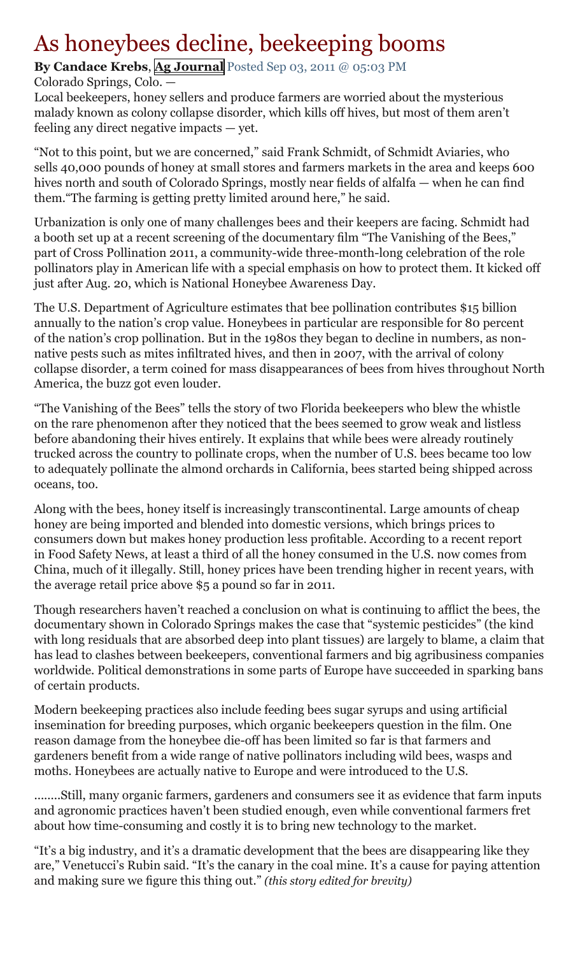# As honeybees decline, beekeeping booms

## **By Candace Krebs**, **[Ag Journal](http://www.agjournalonline.com/)** Posted Sep 03, 2011 @ 05:03 PM

## Colorado Springs, Colo. —

Local beekeepers, honey sellers and produce farmers are worried about the mysterious malady known as colony collapse disorder, which kills off hives, but most of them aren't feeling any direct negative impacts — yet.

"Not to this point, but we are concerned," said Frank Schmidt, of Schmidt Aviaries, who sells 40,000 pounds of honey at small stores and farmers markets in the area and keeps 600 hives north and south of Colorado Springs, mostly near fields of alfalfa — when he can find them."The farming is getting pretty limited around here," he said.

Urbanization is only one of many challenges bees and their keepers are facing. Schmidt had a booth set up at a recent screening of the documentary film "The Vanishing of the Bees," part of Cross Pollination 2011, a community-wide three-month-long celebration of the role pollinators play in American life with a special emphasis on how to protect them. It kicked off just after Aug. 20, which is National Honeybee Awareness Day.

The U.S. Department of Agriculture estimates that bee pollination contributes \$15 billion annually to the nation's crop value. Honeybees in particular are responsible for 80 percent of the nation's crop pollination. But in the 1980s they began to decline in numbers, as nonnative pests such as mites infiltrated hives, and then in 2007, with the arrival of colony collapse disorder, a term coined for mass disappearances of bees from hives throughout North America, the buzz got even louder.

"The Vanishing of the Bees" tells the story of two Florida beekeepers who blew the whistle on the rare phenomenon after they noticed that the bees seemed to grow weak and listless before abandoning their hives entirely. It explains that while bees were already routinely trucked across the country to pollinate crops, when the number of U.S. bees became too low to adequately pollinate the almond orchards in California, bees started being shipped across oceans, too.

Along with the bees, honey itself is increasingly transcontinental. Large amounts of cheap honey are being imported and blended into domestic versions, which brings prices to consumers down but makes honey production less profitable. According to a recent report in Food Safety News, at least a third of all the honey consumed in the U.S. now comes from China, much of it illegally. Still, honey prices have been trending higher in recent years, with the average retail price above \$5 a pound so far in 2011.

Though researchers haven't reached a conclusion on what is continuing to afflict the bees, the documentary shown in Colorado Springs makes the case that "systemic pesticides" (the kind with long residuals that are absorbed deep into plant tissues) are largely to blame, a claim that has lead to clashes between beekeepers, conventional farmers and big agribusiness companies worldwide. Political demonstrations in some parts of Europe have succeeded in sparking bans of certain products.

Modern beekeeping practices also include feeding bees sugar syrups and using artificial insemination for breeding purposes, which organic beekeepers question in the film. One reason damage from the honeybee die-off has been limited so far is that farmers and gardeners benefit from a wide range of native pollinators including wild bees, wasps and moths. Honeybees are actually native to Europe and were introduced to the U.S.

........Still, many organic farmers, gardeners and consumers see it as evidence that farm inputs and agronomic practices haven't been studied enough, even while conventional farmers fret about how time-consuming and costly it is to bring new technology to the market.

"It's a big industry, and it's a dramatic development that the bees are disappearing like they are," Venetucci's Rubin said. "It's the canary in the coal mine. It's a cause for paying attention and making sure we figure this thing out." *(this story edited for brevity)*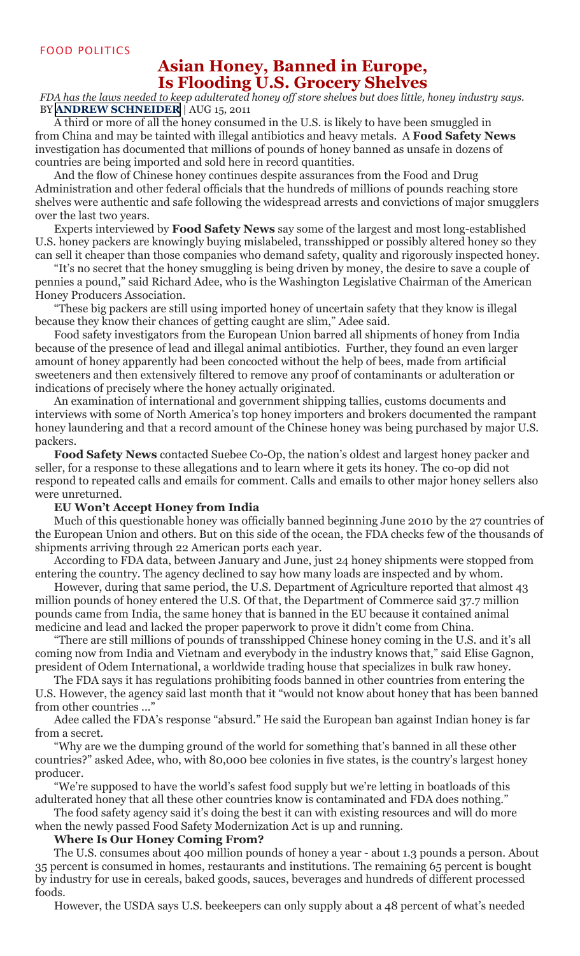## **Asian Honey, Banned in Europe, Is Flooding U.S. Grocery Shelves**

*FDA has the laws needed to keep adulterated honey off store shelves but does little, honey industry says.* BY **[ANDREW SCHNEIDER](http://www.foodsafetynews.com/contributors/andrew-schneider/)** | AUG 15, 2011

A third or more of all the honey consumed in the U.S. is likely to have been smuggled in from China and may be tainted with illegal antibiotics and heavy metals. A **Food Safety News** investigation has documented that millions of pounds of honey banned as unsafe in dozens of countries are being imported and sold here in record quantities.

And the flow of Chinese honey continues despite assurances from the Food and Drug Administration and other federal officials that the hundreds of millions of pounds reaching store shelves were authentic and safe following the widespread arrests and convictions of major smugglers over the last two years.

Experts interviewed by **Food Safety News** say some of the largest and most long-established U.S. honey packers are knowingly buying mislabeled, transshipped or possibly altered honey so they can sell it cheaper than those companies who demand safety, quality and rigorously inspected honey.

"It's no secret that the honey smuggling is being driven by money, the desire to save a couple of pennies a pound," said Richard Adee, who is the Washington Legislative Chairman of the American Honey Producers Association.

"These big packers are still using imported honey of uncertain safety that they know is illegal because they know their chances of getting caught are slim," Adee said.

Food safety investigators from the European Union barred all shipments of honey from India because of the presence of lead and illegal animal antibiotics. Further, they found an even larger amount of honey apparently had been concocted without the help of bees, made from artificial sweeteners and then extensively filtered to remove any proof of contaminants or adulteration or indications of precisely where the honey actually originated.

An examination of international and government shipping tallies, customs documents and interviews with some of North America's top honey importers and brokers documented the rampant honey laundering and that a record amount of the Chinese honey was being purchased by major U.S. packers.

**Food Safety News** contacted Suebee Co-Op, the nation's oldest and largest honey packer and seller, for a response to these allegations and to learn where it gets its honey. The co-op did not respond to repeated calls and emails for comment. Calls and emails to other major honey sellers also were unreturned.

#### **EU Won't Accept Honey from India**

Much of this questionable honey was officially banned beginning June 2010 by the 27 countries of the European Union and others. But on this side of the ocean, the FDA checks few of the thousands of shipments arriving through 22 American ports each year.

According to FDA data, between January and June, just 24 honey shipments were stopped from entering the country. The agency declined to say how many loads are inspected and by whom.

However, during that same period, the U.S. Department of Agriculture reported that almost 43 million pounds of honey entered the U.S. Of that, the Department of Commerce said 37.7 million pounds came from India, the same honey that is banned in the EU because it contained animal medicine and lead and lacked the proper paperwork to prove it didn't come from China.

"There are still millions of pounds of transshipped Chinese honey coming in the U.S. and it's all coming now from India and Vietnam and everybody in the industry knows that," said Elise Gagnon, president of Odem International, a worldwide trading house that specializes in bulk raw honey.

The FDA says it has regulations prohibiting foods banned in other countries from entering the U.S. However, the agency said last month that it "would not know about honey that has been banned from other countries ..."

Adee called the FDA's response "absurd." He said the European ban against Indian honey is far from a secret.

"Why are we the dumping ground of the world for something that's banned in all these other countries?" asked Adee, who, with 80,000 bee colonies in five states, is the country's largest honey producer.

"We're supposed to have the world's safest food supply but we're letting in boatloads of this adulterated honey that all these other countries know is contaminated and FDA does nothing."

The food safety agency said it's doing the best it can with existing resources and will do more when the newly passed Food Safety Modernization Act is up and running.

#### **Where Is Our Honey Coming From?**

The U.S. consumes about 400 million pounds of honey a year - about 1.3 pounds a person. About 35 percent is consumed in homes, restaurants and institutions. The remaining 65 percent is bought by industry for use in cereals, baked goods, sauces, beverages and hundreds of different processed foods.

However, the USDA says U.S. beekeepers can only supply about a 48 percent of what's needed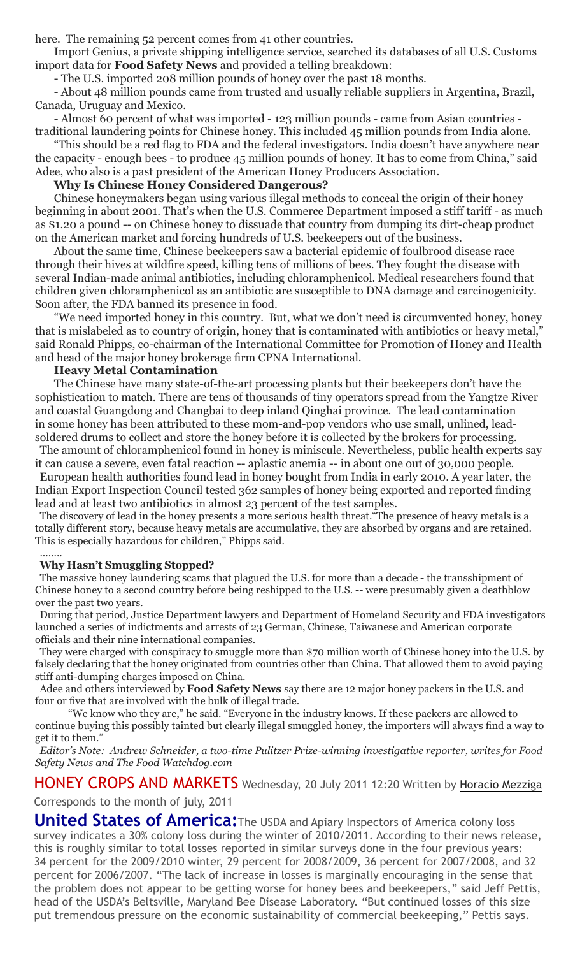here. The remaining 52 percent comes from 41 other countries.

Import Genius, a private shipping intelligence service, searched its databases of all U.S. Customs import data for **Food Safety News** and provided a telling breakdown:

- The U.S. imported 208 million pounds of honey over the past 18 months.

- About 48 million pounds came from trusted and usually reliable suppliers in Argentina, Brazil, Canada, Uruguay and Mexico.

- Almost 60 percent of what was imported - 123 million pounds - came from Asian countries traditional laundering points for Chinese honey. This included 45 million pounds from India alone.

"This should be a red flag to FDA and the federal investigators. India doesn't have anywhere near the capacity - enough bees - to produce 45 million pounds of honey. It has to come from China," said Adee, who also is a past president of the American Honey Producers Association.

#### **Why Is Chinese Honey Considered Dangerous?**

Chinese honeymakers began using various illegal methods to conceal the origin of their honey beginning in about 2001. That's when the U.S. Commerce Department imposed a stiff tariff - as much as \$1.20 a pound -- on Chinese honey to dissuade that country from dumping its dirt-cheap product on the American market and forcing hundreds of U.S. beekeepers out of the business.

About the same time, Chinese beekeepers saw a bacterial epidemic of foulbrood disease race through their hives at wildfire speed, killing tens of millions of bees. They fought the disease with several Indian-made animal antibiotics, including chloramphenicol. Medical researchers found that children given chloramphenicol as an antibiotic are susceptible to DNA damage and carcinogenicity. Soon after, the FDA banned its presence in food.

"We need imported honey in this country. But, what we don't need is circumvented honey, honey that is mislabeled as to country of origin, honey that is contaminated with antibiotics or heavy metal," said Ronald Phipps, co-chairman of the International Committee for Promotion of Honey and Health and head of the major honey brokerage firm CPNA International.

#### **Heavy Metal Contamination**

The Chinese have many state-of-the-art processing plants but their beekeepers don't have the sophistication to match. There are tens of thousands of tiny operators spread from the Yangtze River and coastal Guangdong and Changbai to deep inland Qinghai province. The lead contamination in some honey has been attributed to these mom-and-pop vendors who use small, unlined, leadsoldered drums to collect and store the honey before it is collected by the brokers for processing.

The amount of chloramphenicol found in honey is miniscule. Nevertheless, public health experts say it can cause a severe, even fatal reaction -- aplastic anemia -- in about one out of 30,000 people.

European health authorities found lead in honey bought from India in early 2010. A year later, the Indian Export Inspection Council tested 362 samples of honey being exported and reported finding lead and at least two antibiotics in almost 23 percent of the test samples.

The discovery of lead in the honey presents a more serious health threat."The presence of heavy metals is a totally different story, because heavy metals are accumulative, they are absorbed by organs and are retained. This is especially hazardous for children," Phipps said.

#### ........ **Why Hasn't Smuggling Stopped?**

The massive honey laundering scams that plagued the U.S. for more than a decade - the transshipment of Chinese honey to a second country before being reshipped to the U.S. -- were presumably given a deathblow over the past two years.

During that period, Justice Department lawyers and Department of Homeland Security and FDA investigators launched a series of indictments and arrests of 23 German, Chinese, Taiwanese and American corporate officials and their nine international companies.

They were charged with conspiracy to smuggle more than \$70 million worth of Chinese honey into the U.S. by falsely declaring that the honey originated from countries other than China. That allowed them to avoid paying stiff anti-dumping charges imposed on China.

Adee and others interviewed by **Food Safety News** say there are 12 major honey packers in the U.S. and four or five that are involved with the bulk of illegal trade.

"We know who they are," he said. "Everyone in the industry knows. If these packers are allowed to continue buying this possibly tainted but clearly illegal smuggled honey, the importers will always find a way to get it to them."

*Editor's Note: Andrew Schneider, a two-time Pulitzer Prize-winning investigative reporter, writes for Food Safety News and The Food Watchdog.com*

HONEY CROPS AND MARKETS Wednesday, 20 July 2011 12:20 Written by [Horacio Mezziga](http://www.apinews.com/en/component/k2/itemlist/user/1507-horaciomezziga) Corresponds to the month of july, 2011

**United States of America:**The USDA and Apiary Inspectors of America colony loss survey indicates a 30% colony loss during the winter of 2010/2011. According to their news release, this is roughly similar to total losses reported in similar surveys done in the four previous years: 34 percent for the 2009/2010 winter, 29 percent for 2008/2009, 36 percent for 2007/2008, and 32 percent for 2006/2007. "The lack of increase in losses is marginally encouraging in the sense that the problem does not appear to be getting worse for honey bees and beekeepers," said Jeff Pettis, head of the USDA's Beltsville, Maryland Bee Disease Laboratory. "But continued losses of this size put tremendous pressure on the economic sustainability of commercial beekeeping," Pettis says.